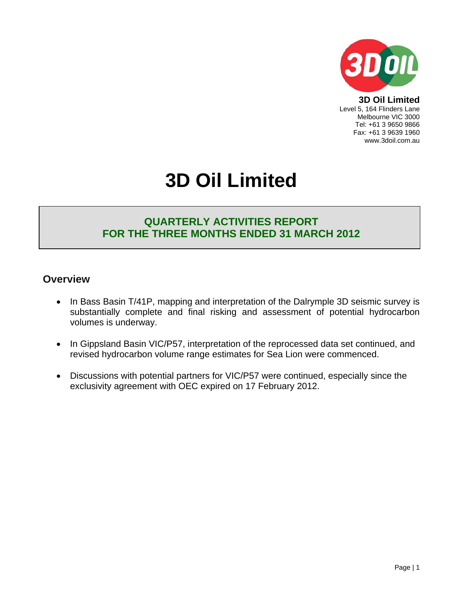

**3D Oil Limited**  Level 5, 164 Flinders Lane Melbourne VIC 3000 Tel: +61 3 9650 9866 Fax: +61 3 9639 1960 www.3doil.com.au

# **3D Oil Limited**

### **QUARTERLY ACTIVITIES REPORT FOR THE THREE MONTHS ENDED 31 MARCH 2012**

#### **Overview**

- In Bass Basin T/41P, mapping and interpretation of the Dalrymple 3D seismic survey is substantially complete and final risking and assessment of potential hydrocarbon volumes is underway.
- In Gippsland Basin VIC/P57, interpretation of the reprocessed data set continued, and revised hydrocarbon volume range estimates for Sea Lion were commenced.
- Discussions with potential partners for VIC/P57 were continued, especially since the exclusivity agreement with OEC expired on 17 February 2012.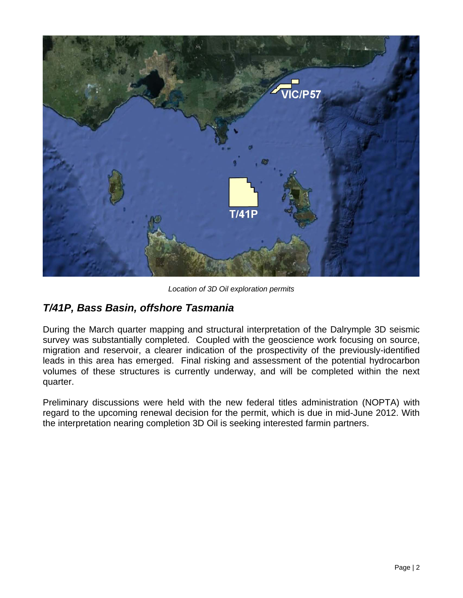

*Location of 3D Oil exploration permits* 

## *T/41P, Bass Basin, offshore Tasmania*

During the March quarter mapping and structural interpretation of the Dalrymple 3D seismic survey was substantially completed. Coupled with the geoscience work focusing on source, migration and reservoir, a clearer indication of the prospectivity of the previously-identified leads in this area has emerged. Final risking and assessment of the potential hydrocarbon volumes of these structures is currently underway, and will be completed within the next quarter.

Preliminary discussions were held with the new federal titles administration (NOPTA) with regard to the upcoming renewal decision for the permit, which is due in mid-June 2012. With the interpretation nearing completion 3D Oil is seeking interested farmin partners.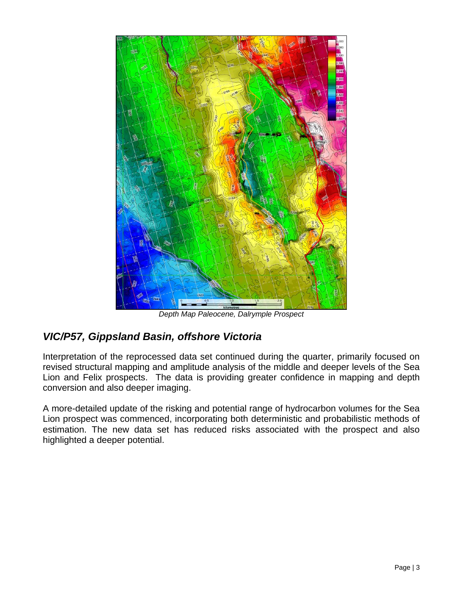

*Depth Map Paleocene, Dalrymple Prospect* 

## *VIC/P57, Gippsland Basin, offshore Victoria*

Interpretation of the reprocessed data set continued during the quarter, primarily focused on revised structural mapping and amplitude analysis of the middle and deeper levels of the Sea Lion and Felix prospects. The data is providing greater confidence in mapping and depth conversion and also deeper imaging.

A more-detailed update of the risking and potential range of hydrocarbon volumes for the Sea Lion prospect was commenced, incorporating both deterministic and probabilistic methods of estimation. The new data set has reduced risks associated with the prospect and also highlighted a deeper potential.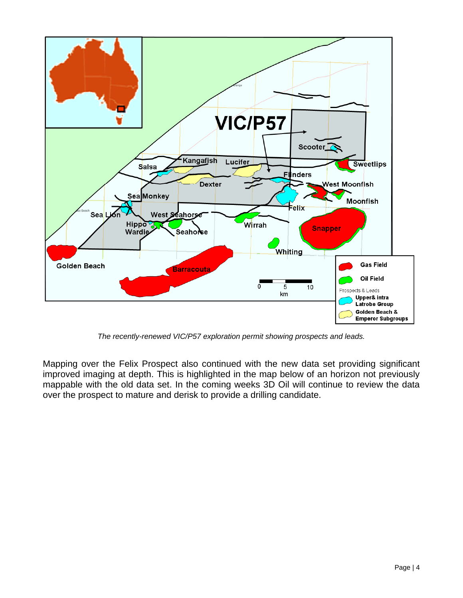

*The recently-renewed VIC/P57 exploration permit showing prospects and leads.* 

Mapping over the Felix Prospect also continued with the new data set providing significant improved imaging at depth. This is highlighted in the map below of an horizon not previously mappable with the old data set. In the coming weeks 3D Oil will continue to review the data over the prospect to mature and derisk to provide a drilling candidate.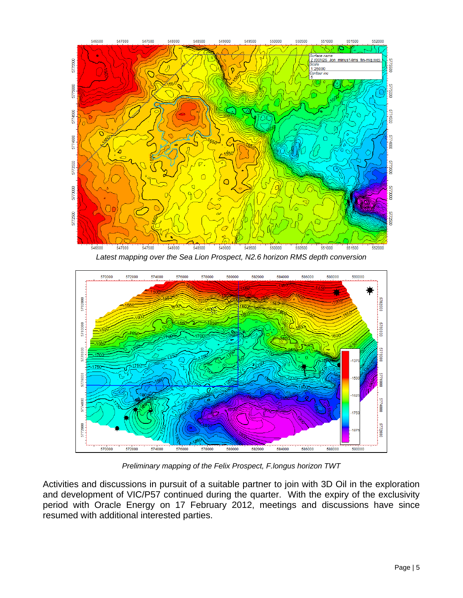

*Latest mapping over the Sea Lion Prospect, N2.6 horizon RMS depth conversion* 



*Preliminary mapping of the Felix Prospect, F.longus horizon TWT* 

Activities and discussions in pursuit of a suitable partner to join with 3D Oil in the exploration and development of VIC/P57 continued during the quarter. With the expiry of the exclusivity period with Oracle Energy on 17 February 2012, meetings and discussions have since resumed with additional interested parties.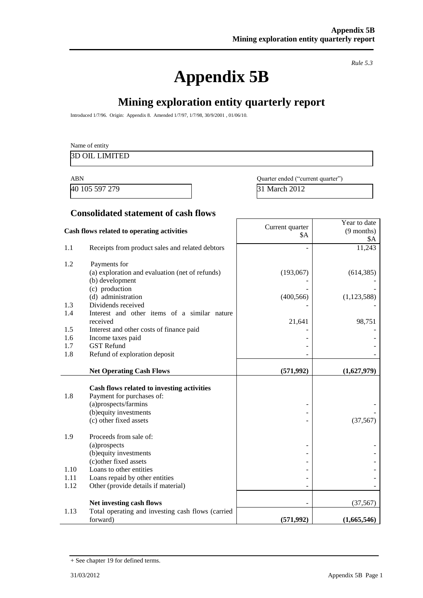# **Appendix 5B**

*Rule 5.3*

Year to date (9 months)

# **Mining exploration entity quarterly report**

Introduced 1/7/96. Origin: Appendix 8. Amended 1/7/97, 1/7/98, 30/9/2001 , 01/06/10.

| Name of entity        |                                   |
|-----------------------|-----------------------------------|
| <b>3D OIL LIMITED</b> |                                   |
| <b>ABN</b>            | Quarter ended ("current quarter") |

40 105 597 279 31 March 2012

 $SA$ 

#### **Consolidated statement of cash flows**

# **Cash flows related to operating activities** Current quarter

|      |                                                                         | ΨΤ         | \$A           |
|------|-------------------------------------------------------------------------|------------|---------------|
| 1.1  | Receipts from product sales and related debtors                         |            | 11,243        |
| 1.2  | Payments for                                                            |            |               |
|      | (a) exploration and evaluation (net of refunds)                         | (193,067)  | (614, 385)    |
|      | (b) development                                                         |            |               |
|      | (c) production                                                          |            |               |
|      | (d) administration                                                      | (400, 566) | (1, 123, 588) |
| 1.3  | Dividends received                                                      |            |               |
| 1.4  | Interest and other items of a similar nature<br>received                | 21,641     | 98,751        |
| 1.5  | Interest and other costs of finance paid                                |            |               |
| 1.6  | Income taxes paid                                                       |            |               |
| 1.7  | <b>GST</b> Refund                                                       |            |               |
| 1.8  | Refund of exploration deposit                                           |            |               |
|      | <b>Net Operating Cash Flows</b>                                         | (571, 992) | (1,627,979)   |
|      |                                                                         |            |               |
| 1.8  | Cash flows related to investing activities<br>Payment for purchases of: |            |               |
|      | (a)prospects/farmins                                                    |            |               |
|      | (b) equity investments                                                  |            |               |
|      | (c) other fixed assets                                                  |            | (37, 567)     |
|      |                                                                         |            |               |
| 1.9  | Proceeds from sale of:                                                  |            |               |
|      | (a)prospects<br>(b) equity investments                                  |            |               |
|      | (c) other fixed assets                                                  |            |               |
| 1.10 | Loans to other entities                                                 |            |               |
| 1.11 | Loans repaid by other entities                                          |            |               |
| 1.12 | Other (provide details if material)                                     |            |               |
|      |                                                                         |            |               |
| 1.13 | Net investing cash flows                                                |            | (37, 567)     |
|      | Total operating and investing cash flows (carried<br>forward)           | (571, 992) | (1,665,546)   |

<sup>+</sup> See chapter 19 for defined terms.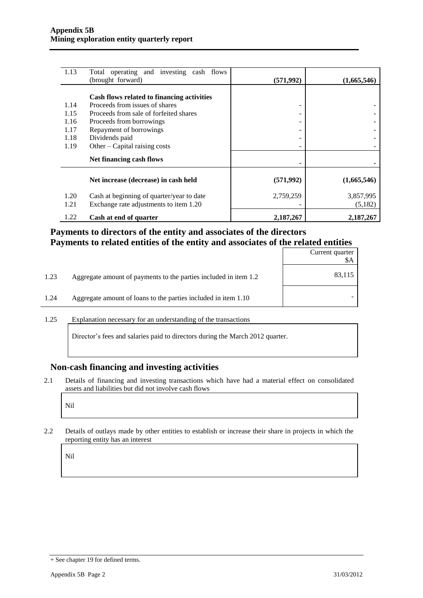| 1.13         | Total operating and investing cash flows                                            |            |                      |
|--------------|-------------------------------------------------------------------------------------|------------|----------------------|
|              | (brought forward)                                                                   | (571,992)  | (1,665,546)          |
|              | Cash flows related to financing activities                                          |            |                      |
| 1.14         | Proceeds from issues of shares                                                      | ۰          |                      |
| 1.15         | Proceeds from sale of forfeited shares                                              |            |                      |
| 1.16         | Proceeds from borrowings                                                            |            |                      |
| 1.17         | Repayment of borrowings                                                             |            |                      |
| 1.18         | Dividends paid                                                                      | ۰          |                      |
| 1.19         | Other – Capital raising costs                                                       |            |                      |
|              | Net financing cash flows                                                            |            |                      |
|              | Net increase (decrease) in cash held                                                | (571, 992) | (1,665,546)          |
| 1.20<br>1.21 | Cash at beginning of quarter/year to date<br>Exchange rate adjustments to item 1.20 | 2,759,259  | 3,857,995<br>(5,182) |
| 1.22         | Cash at end of quarter                                                              | 2,187,267  | 2,187,267            |

#### **Payments to directors of the entity and associates of the directors Payments to related entities of the entity and associates of the related entities**

|      |                                                                  | Current quarter<br>\$A |
|------|------------------------------------------------------------------|------------------------|
| 1.23 | Aggregate amount of payments to the parties included in item 1.2 | 83,115                 |
| 1.24 | Aggregate amount of loans to the parties included in item 1.10   |                        |

1.25 Explanation necessary for an understanding of the transactions

Director's fees and salaries paid to directors during the March 2012 quarter.

#### **Non-cash financing and investing activities**

2.1 Details of financing and investing transactions which have had a material effect on consolidated assets and liabilities but did not involve cash flows

Nil

2.2 Details of outlays made by other entities to establish or increase their share in projects in which the reporting entity has an interest

Nil

<sup>+</sup> See chapter 19 for defined terms.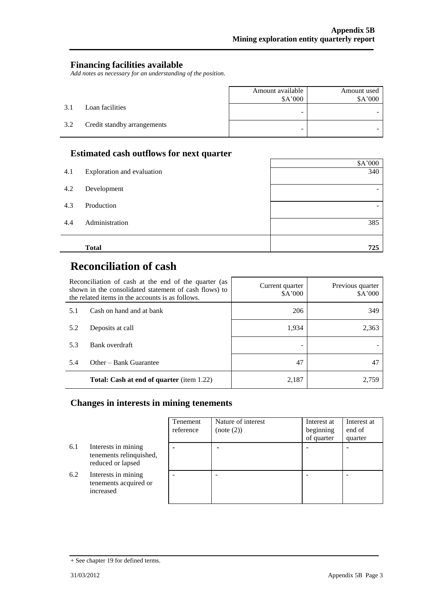#### **Financing facilities available**

*Add notes as necessary for an understanding of the position.*

|     |                             | Amount available<br>\$A'000 | Amount used<br>\$A'000 |
|-----|-----------------------------|-----------------------------|------------------------|
| 3.1 | Loan facilities             | -                           |                        |
| 3.2 | Credit standby arrangements | -                           |                        |

#### **Estimated cash outflows for next quarter**

|     |                            | \$A'000 |
|-----|----------------------------|---------|
| 4.1 | Exploration and evaluation | 340     |
| 4.2 | Development                | -       |
| 4.3 | Production                 | -       |
| 4.4 | Administration             | 385     |
|     | <b>Total</b>               | 725     |

 $\mathbf{r}$ 

# **Reconciliation of cash**

| Reconciliation of cash at the end of the quarter (as<br>shown in the consolidated statement of cash flows) to<br>the related items in the accounts is as follows. |                                                  | Current quarter<br>\$A'000 | Previous quarter<br>\$A'000 |
|-------------------------------------------------------------------------------------------------------------------------------------------------------------------|--------------------------------------------------|----------------------------|-----------------------------|
| 5.1                                                                                                                                                               | Cash on hand and at bank                         | 206                        | 349                         |
| 5.2                                                                                                                                                               | Deposits at call                                 | 1,934                      | 2,363                       |
| 5.3                                                                                                                                                               | Bank overdraft                                   |                            |                             |
| 5.4                                                                                                                                                               | Other – Bank Guarantee                           | 47                         | 47                          |
|                                                                                                                                                                   | <b>Total: Cash at end of quarter</b> (item 1.22) | 2,187                      | 2.759                       |

### **Changes in interests in mining tenements**

|     |                                                                     | Tenement<br>reference | Nature of interest<br>(note (2)) | Interest at<br>beginning<br>of quarter | Interest at<br>end of<br>quarter |
|-----|---------------------------------------------------------------------|-----------------------|----------------------------------|----------------------------------------|----------------------------------|
| 6.1 | Interests in mining<br>tenements relinquished,<br>reduced or lapsed |                       |                                  |                                        |                                  |
| 6.2 | Interests in mining<br>tenements acquired or<br>increased           |                       |                                  |                                        |                                  |

<sup>+</sup> See chapter 19 for defined terms.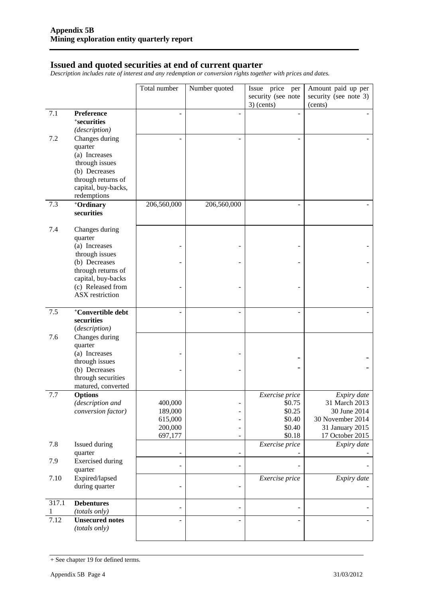#### **Issued and quoted securities at end of current quarter**

*Description includes rate of interest and any redemption or conversion rights together with prices and dates.*

|            |                                                              | Total number       | Number quoted                    | Issue price per                    | Amount paid up per                 |
|------------|--------------------------------------------------------------|--------------------|----------------------------------|------------------------------------|------------------------------------|
|            |                                                              |                    |                                  | security (see note<br>$3)$ (cents) | security (see note 3)<br>(cents)   |
| 7.1        | Preference<br><sup>+</sup> securities<br>(description)       |                    |                                  |                                    |                                    |
| 7.2        | Changes during<br>quarter<br>(a) Increases                   |                    |                                  |                                    |                                    |
|            | through issues<br>(b) Decreases<br>through returns of        |                    |                                  |                                    |                                    |
|            | capital, buy-backs,<br>redemptions                           |                    |                                  |                                    |                                    |
| 7.3        | +Ordinary<br>securities                                      | 206,560,000        | 206,560,000                      |                                    |                                    |
| 7.4        | Changes during<br>quarter<br>(a) Increases                   |                    |                                  |                                    |                                    |
|            | through issues<br>(b) Decreases                              |                    |                                  |                                    |                                    |
|            | through returns of<br>capital, buy-backs                     |                    |                                  |                                    |                                    |
|            | (c) Released from<br><b>ASX</b> restriction                  |                    |                                  |                                    |                                    |
| 7.5        | <sup>+</sup> Convertible debt<br>securities<br>(description) |                    |                                  |                                    |                                    |
| 7.6        | Changes during<br>quarter                                    |                    |                                  |                                    |                                    |
|            | (a) Increases<br>through issues                              |                    |                                  |                                    |                                    |
|            | (b) Decreases<br>through securities<br>matured, converted    |                    |                                  |                                    |                                    |
| 7.7        | <b>Options</b><br>(description and                           | 400,000            |                                  | Exercise price<br>\$0.75           | Expiry date<br>31 March 2013       |
|            | conversion factor)                                           | 189,000<br>615,000 |                                  | \$0.25<br>\$0.40                   | 30 June 2014<br>30 November 2014   |
|            |                                                              | 200,000<br>697,177 | $\overline{a}$<br>$\overline{a}$ | \$0.40<br>\$0.18                   | 31 January 2015<br>17 October 2015 |
| 7.8        | Issued during<br>quarter                                     |                    | $\overline{a}$                   | Exercise price                     | Expiry date                        |
| 7.9        | <b>Exercised</b> during<br>quarter                           |                    | $\overline{a}$                   |                                    |                                    |
| 7.10       | Expired/lapsed<br>during quarter                             |                    | $\overline{\phantom{0}}$         | Exercise price                     | Expiry date                        |
| 317.1<br>1 | <b>Debentures</b><br>(totals only)                           |                    | $\overline{\phantom{0}}$         |                                    |                                    |
| 7.12       | <b>Unsecured notes</b><br>(totals only)                      |                    |                                  |                                    |                                    |

<sup>+</sup> See chapter 19 for defined terms.